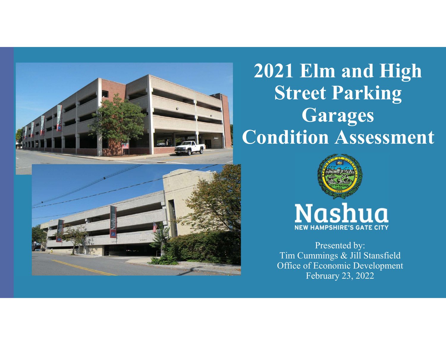

# **2021 Elm and High Street Parking Garages Condition Assessment**



**Nashua NEW HAMPSHIRE'S GATE CITY** 

Presented by: Tim Cummings & Jill Stansfield Office of Economic DevelopmentFebruary 23, 2022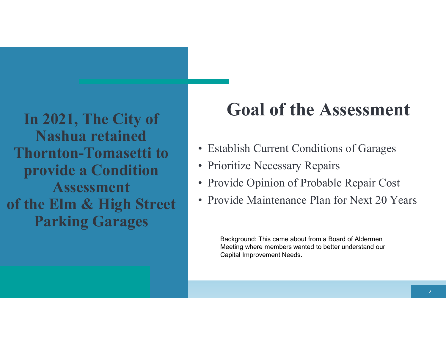**In 2021, The City of Nashua retained Thornton-Tomasetti to provide a Condition Assessmentof the Elm & High Street Parking Garages**

# **Goal of the Assessment**

- Establish Current Conditions of Garages
- Prioritize Necessary Repairs
- Provide Opinion of Probable Repair Cost
- Provide Maintenance Plan for Next 20 Years

Background: This came about from a Board of Aldermen Meeting where members wanted to better understand ourCapital Improvement Needs.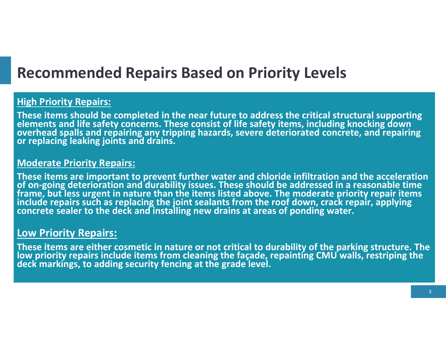## **Recommended Repairs Based on Priority Levels**

### **High Priority Repairs:**

These items should be completed in the near future to address the critical structural supporting<br>elements and life safety concerns. These consist of life safety items, including knocking down<br>overhead spalls and repairing

### **Moderate Priority Repairs:**

These items are important to prevent further water and chloride infiltration and the acceleration<br>of on-going deterioration and durability issues. These should be addressed in a reasonable time<br>frame, but less urgent in na

## **Low Priority Repairs:**

These items are either cosmetic in nature or not critical to durability of the parking structure. The low priority repairs include items from cleaning the façade, repainting CMU walls, restriping the deck markings, to addi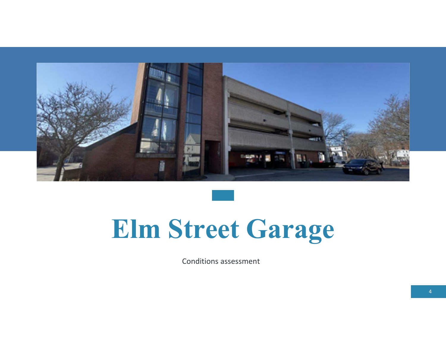

# **Elm Street Garage**

Conditions assessment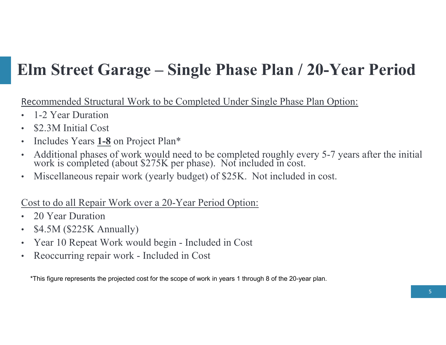## **Elm Street Garage – Single Phase Plan / 20-Year Period**

Recommended Structural Work to be Completed Under Single Phase Plan Option:

- •1-2 Year Duration
- •\$2.3M Initial Cost
- •• Includes Years **1-8** on Project Plan\*
- •Additional phases of work would need to be completed roughly every 5-7 years after the initial work is completed (about \$275K per phase). Not included in cost.
- •Miscellaneous repair work (yearly budget) of \$25K. Not included in cost.

## Cost to do all Repair Work over a 20-Year Period Option:

- $\bullet$ 20 Year Duration
- \$4.5M (\$225K Annually) •
- •Year 10 Repeat Work would begin - Included in Cost
- •Reoccurring repair work - Included in Cost

\*This figure represents the projected cost for the scope of work in years 1 through 8 of the 20-year plan.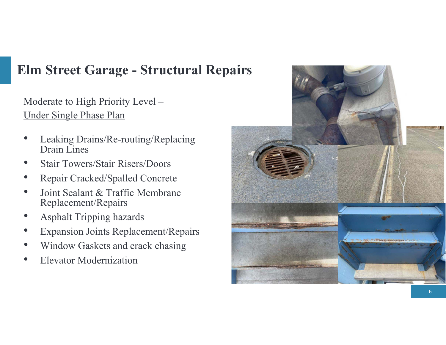## **Elm Street Garage - Structural Repairs**

Moderate to High Priority Level –Under Single Phase Plan

- •• Leaking Drains/Re-routing/Replacing Drain Lines
- •Stair Towers/Stair Risers/Doors
- •Repair Cracked/Spalled Concrete
- • Joint Sealant & Traffic Membrane Replacement/Repairs
- •Asphalt Tripping hazards
- •Expansion Joints Replacement/Repairs
- •Window Gaskets and crack chasing
- •Elevator Modernization

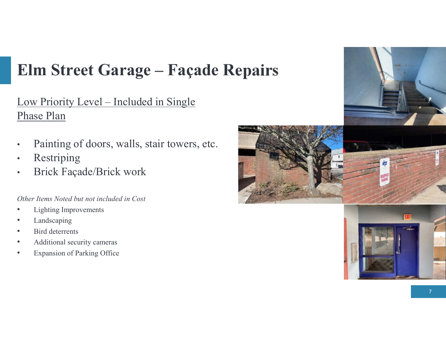# **Elm Street Garage – Façade Repairs**

Low Priority Level – Included in Single Phase Plan

- •Painting of doors, walls, stair towers, etc.
- •Restriping
- Brick Façade/Brick work •

*Other Items Noted but not included in Cost* 

- •Lighting Improvements
- •Landscaping
- •Bird deterrents
- •Additional security cameras
- •Expansion of Parking Office



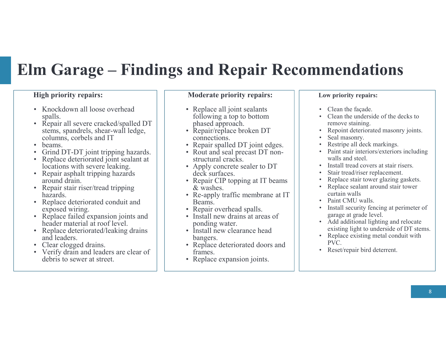## **Elm Garage – Findings and Repair Recommendations**

#### **High priority repairs:**

- Knockdown all loose overhead<br>spalls spalls.
- Repair all severe cracked/spalled DT<br>stems, spandrels, shear-wall ledge stems, spandrels, shear-wall ledge, columns, corbels and IT
- beams.<br>• Grind l
- •Grind DT-DT joint tripping hazards.
- Replace deteriorated joint sealant at<br>locations with severe leaking locations with severe leaking.
- Repair asphalt tripping hazards<br>around drain around drain.
- Repair stair riser/tread tripping<br>hazards hazards.
- Replace deteriorated conduit and<br>exposed wiring exposed wiring.
- Replace failed expansion joints and<br>header material at roof level header material at roof level.
- Replace deteriorated/leaking drains<br>and leaders and leaders.
- Clear clogged drains.<br>• Verify drain and leade
- Verify drain and leaders are clear of<br>debris to sewer at street debris to sewer at street.

#### **Moderate priority repairs:**

- Replace all joint sealants<br>following a top to bottom following a top to bottom phased approach.
- Repair/replace broken DT<br>connections connections.
- Repair spalled DT joint edges.<br>• Rout and seal precast DT non-
- Rout and seal precast DT non-<br>structural cracks structural cracks.
- Apply concrete sealer to DT<br>deck surfaces deck surfaces.
- Repair CIP topping at IT beams  $\&$  washes & washes.
- Re-apply traffic membrane at IT<br>Beams Beams.
- Repair overhead spalls.<br>• Install new drains at are
- Install new drains at areas of<br>nonding water ponding water.
- Install new clearance head<br>hangers bangers.
- Replace deteriorated doors and frames frames.
- Replace expansion joints.

#### **Low priority repairs:**

- Clean the façade.
- • Clean the underside of the decks to remove staining.
- Repoint deteriorated masonry joints.
- •Seal masonry.
- •Restripe all deck markings.
- Paint stair interiors/exteriors including walls and steel.
- Install tread covers at stair risers. •
- •Stair tread/riser replacement.
- •Replace stair tower glazing gaskets.
- • Replace sealant around stair tower curtain walls
- Paint CMU walls.
- Install security fencing at perimeter of garage at grade level.
- Add additional lighting and relocate<br>covisting light to underside of  $DT$  star existing light to underside of DT stems.
- Replace existing metal conduit with  $PVC$ PVC.
- Reset/repair bird deterrent.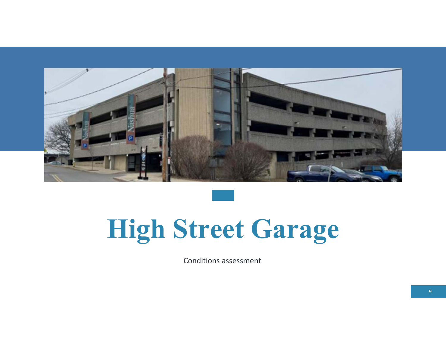

# **High Street Garage**

Conditions assessment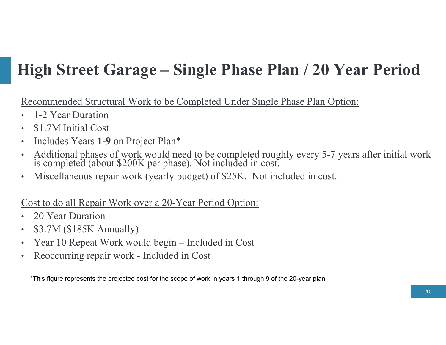# **High Street Garage – Single Phase Plan / 20 Year Period**

Recommended Structural Work to be Completed Under Single Phase Plan Option:

- •1-2 Year Duration
- •\$1.7M Initial Cost
- •• Includes Years **1-9** on Project Plan\*
- •Additional phases of work would need to be completed roughly every 5-7 years after initial work is completed (about \$200K per phase). Not included in cost.
- •Miscellaneous repair work (yearly budget) of \$25K. Not included in cost.

## Cost to do all Repair Work over a 20-Year Period Option:

- $\bullet$ 20 Year Duration
- \$3.7M (\$185K Annually) •
- •Year 10 Repeat Work would begin – Included in Cost
- •Reoccurring repair work - Included in Cost

\*This figure represents the projected cost for the scope of work in years 1 through 9 of the 20-year plan.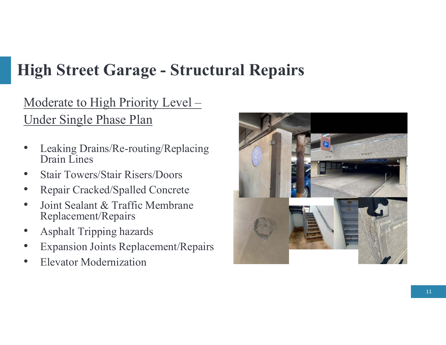# **High Street Garage - Structural Repairs**

Moderate to High Priority Level –Under Single Phase Plan

- • Leaking Drains/Re-routing/Replacing Drain Lines
- •Stair Towers/Stair Risers/Doors
- •Repair Cracked/Spalled Concrete
- • Joint Sealant & Traffic Membrane Replacement/Repairs
- •Asphalt Tripping hazards
- •Expansion Joints Replacement/Repairs
- •Elevator Modernization

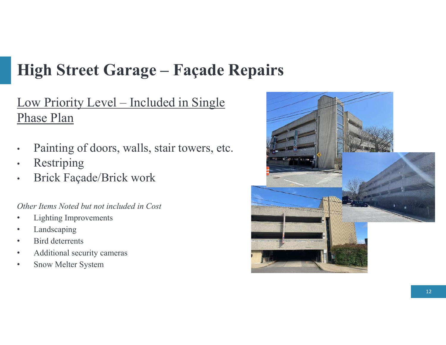# **High Street Garage – Façade Repairs**

Low Priority Level – Included in Single Phase Plan

- •Painting of doors, walls, stair towers, etc.
- $\bullet$ Restriping
- Brick Façade/Brick work •

*Other Items Noted but not included in Cost*

- •Lighting Improvements
- •Landscaping
- Bird deterrents •
- •Additional security cameras
- •Snow Melter System

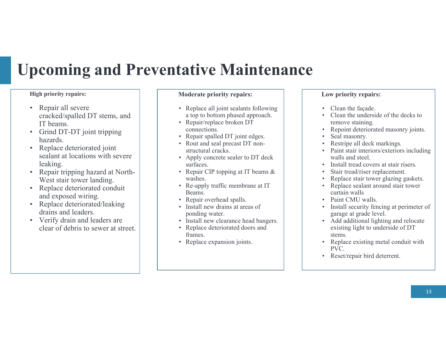## **Upcoming and Preventative Maintenance**

#### **High priority repairs:**

- Repair all severe cracked/spalled DT stems, and IT beams.
- Grind DT-DT joint tripping hazards.
- Replace deteriorated joint sealant at locations with severe leaking.
- Repair tripping hazard at North-West stair tower landing.
- Replace deteriorated conduit and exposed wiring.
- Replace deteriorated/leaking<br>drains and loaders drains and leaders.
- Verify drain and leaders are<br>clear of debris to sover at att clear of debris to sewer at street.

#### **Moderate priority repairs:**

- Replace all joint sealants following<br>a top to bottom phased approach a top to bottom phased approach.
- Repair/replace broken DT connections.
- Repair spalled DT joint edges.
- Rout and seal precast DT non-<br>structural creaks structural cracks.
- Apply concrete sealer to DT deck surfaces.
- Repair CIP topping at IT beams & washes.
- Re-apply traffic membrane at IT Beams.
- Repair overhead spalls.
- Install new drains at areas of<br>nonding water ponding water.
- Install new clearance head bangers.
- Replace deteriorated doors and<br>frames frames.
- Replace expansion joints.

#### **Low priority repairs:**

- Clean the façade.<br>• Clean the undersity
- Clean the underside of the decks to<br>remove staining remove staining.
- Repoint deteriorated masonry joints. •
- •Seal masonry.
- Restripe all deck markings.
- • Paint stair interiors/exteriors including walls and steel.
- Install tread covers at stair risers.
- •Stair tread/riser replacement.
- •Replace stair tower glazing gaskets.
- Replace sealant around stair tower<br>curtain walls curtain walls
- Paint CMU walls.
- • Install security fencing at perimeter of garage at grade level.
- Add additional lighting and relocate<br>existing light to underside of  $DT$ existing light to underside of DT stems.
- Replace existing metal conduit with  $PVC$ PVC.
- Reset/repair bird deterrent.